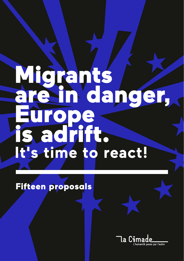# Migrants are in danger, Europe is adrift. **It's time to react!**

### Fifteen proposals

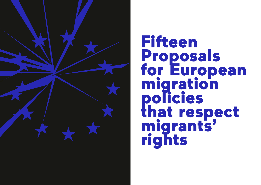

# Fifteen Proposals for European migration policies that respect migrants' rights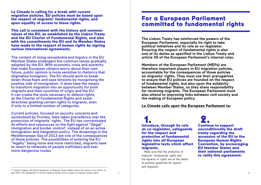La Cimade is calling for a break with current migration policies. EU policies must be based upon the respect of migrants' fundamental rights, and upon equality of access to those rights.

This call is consistent with the history and common values of the EU, as established by the Lisbon Treaty and the EU Charter of Fundamental Rights, and also with the commitments the EU and its Member States have made to the respect of human rights by signing various international agreements.

The context of rising xenophobia and bigotry in the EU Member States endangers the common values gradually adopted by the EU. With economic crisis and austerity that make European citizens worry about their own future, public opinion is more sensitive to rhetorics that stigmatise foreigners. The EU should work to break down those fears and ease tensions by recognising the positive side of immigration. It does have the means to transform migration into an opportunity for both migrants and their countries of origin and the EU. It can create the tools necessary to defend rights, as the Charter of Fundamental Rights and some directives granting certain rights to migrants, even if only to a limited number of categories.

Current policies, focused on security concerns and symbolised by Frontex, have taken precedence over the protection of migrants' rights. The EU has concentrated its efforts and ressources on the fight against "illegal" immigration and border control<sup>1</sup>, instead of on an active immigration and integration policy. The drownings in the Mediterranean Sea of 2013 are one of the consequences of these policies. The possibilities of entering the EU "legally" being more and more restricted, migrants have to resort to networks of people traffickers and ever more dangerous routes.

## For a European Parliament committed to fundamental rights

**The Lisbon Treaty has reinforced the powers of the European Parliament, especially its right to take political initiatives and its role as co-legislator. Ensuring the respect of fundamental rights is also one of its duties as specified in the Lisbon Treaty and article 36 of the European Parliament's internal rules.** 

**Members of the European Parliament (MEPs) are therefore important players in EU migration policies, accountable for the consequences of those policies on migrants' rights. They must use their prerogatives to ensure that EU policies are founded on the respect of fundamental rights, but also upon the solidarity between Member States, so they share responsibility for receiving migrants. The European Parliament must also attend to improving links between civil society and the making of European policy.**

#### La Cimade calls upon the European Parliament to:

1. Introduce, through its role as co-legislator, safeguards for the respect and protection of fundamental rights into all European legislative texts which affect migrants.

Make sure that the protection of migrants' fundamental rights and the equality of rights are at the centre of political guidelines for asylum and migration.

2. Continue to support unconditionally the draft treaty regarding the accession of the EU to the European Human Rights Convention, by encouraging EU Member States and their national parliaments to ratify this agreement.

1. François Crépeau, UN Special Rapporteur on Migrants' Human Rights, shares this opinion in his memoir of April 2013 "The management of the EU's external borders and its impact on migrants' human rights".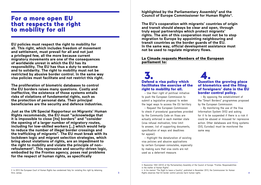### For a more open EU that respects the right to mobility for all

**EU policies must respect the right to mobility for all. This right, which includes freedom of movement and settlement, must prevail for all and not just a privileged few, all the more because current migratory movements are one of the consequences of worldwide unrest in which the EU has its responsibility. The EU has thus a duty to welcome and to solidarity. The right to mobility must not be restricted by abusive border control. In the same way visa policies must facilitate and not restrict this right.**

**The proliferation of biometric databases to control the EU borders raises many questions. Costly and ineffective, the existence of those systems entails risks of violations of fundamental rights, such as the protection of personal data. Their principal beneficiaries are the security and defence industries.**

**Just as the UN Special Rapporteur on Migrants' Human Rights recommends, the EU must "acknowledge that it is impossible to close [its] borders" and "consider the opening of a larger number of migratory routes, including for low-skilled workers […] which would help to reduce the number of illegal border crossings and the trafficking of migrants". The EU must break with its lockdown logic and migrant selection strategies, which bring about violations of rights, are an impediment to the right to mobility and violate the principle of nonrefoulement2. This repressive and security-driven logic, embodied by the Frontex agency, poses real problems for the respect of human rights, as specifically** 

**highlighted by the Parliamentary Assembly3 and the Council of Europe Commissioner for Human Rights4.**

**The EU's cooperation with migrants' countries of origin and transit should always be clear and open, through truly equal partnerships which protect migrants' rights. The aim of this cooperation must not be to stop migration to Europe by appointing neighbouring and transit countries as the border guards of the EU. In the same way, official development assistance must not be used to regulate migratory flows.** 

### La Cimade requests Members of the European parliament to:

## 3. Defend a visa policy which facilitates the exercise of the right to mobility for all.

– Use their right of political initiative to push the European Commission to submit a legislative proposal to widen the legal ways to access the EU territory.

– Request the European Commission to check if procedural guarantees provided by the Community Code on Visas are actually enforced in each member state (visa refusal motivation, time limit to answer, list of supporting documents, specification of ways and deadlines for appeal).

– Highlight the denaturation of existing visa policies and abusive applications by certain European consulates, especially by making sure that visa costs are not used as a deterrent measure.

### 4. Question the growing place of biometrics and the filing of foreigners' data in the EU border control policy.

– By opposing the establishment of the "Smart Borders" programmes proposed by the European Commission.

– By monitoring the use of the Visa Information System (VIS) and asking for it to be suspended if there is a risk it could be abused or misused for repressive action. Other databases and filing systems (SIS, Eurodac) must be monitored the same way.

<sup>2.</sup> In 2012 the European Court of Human Rights has condemned Italy for violating this right by detaining Hirsi Jamaa.

<sup>3.</sup> Resolution 1932 (2013) of the Parliamentary Assembly of the Council of Europe: "Frontex: Responsabilities in the matter of Human Rights".

<sup>3</sup> 4 Rights observes that EU border control policies harm human rights. 4. In his memoir "The Right to leave a Country", published in November 2013, the Commissioner for Human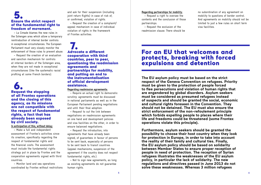### 5. Ensure the strict respect of the fundamental right to freedom of movement.

– La Cimade blames the new rules in the Schengen area which allow a temporary reintroduction of internal border controls in exceptional circumstances. The European Parliament must very closely monitor the enforcement of those rules to prevent abuse.

– Request the creation of an evaluation and sanction mechanism for controls at internal borders of the Schengen area, when they are not made in exceptional circumstances (like the systematic racial profiling at some French borders).

### 6. Request the stopping of all Frontex operations and the closing of this agency, as its missions are not compatible with the respect of fundamental rights, a fact that has already been exposed by civil society. In anticipation of this, without delay:

– Make a full and independent assessment of Frontex's activities since its creation, specifically regarding the respect of fundamental rights and the financial costs. The assessment must include the fundamental rights strategy put in place by Frontex and the cooperation agreements signed with third countries.

– Monitor land and sea operations coordinated by Frontex without restrictions and ask for their suspension (including joint return flights) in case of risk of, or confirmed, violation of rights.

– Request the creation of a complaint/ appeal mechanism in case of individual violation of rights in the framework of Frontex activities.

### 7. Advocate a different cooperation with third countries, peer to peer, questioning the readmission agreements and partnerships for mobility, and putting an end to the instrumentalisation of official development assistance.

Regarding readmission agreements:

– Require an actual right to democratic scrutiny: agreements must be discussed in national parliaments as well as in the European Parliament pending negotiations and until their final adoption.

– Request to cut the link between negotiations on readmission agreements on one hand and development policies and visa facilities on the other, in order to ensure balanced negotiations.

– Request the introduction, into agreements that have already been signed, of guarantees in favour of persons to be sent back, especially of persons to be sent back to transit countries (appeal mechanisms, suspension of the agreement if the country does not respect fundamental rights, etc.).

– Not to sign new agreements, as long as existing agreements do not guarantee human rights.

#### Regarding partnerships for mobility:

– Request a right to oversee the contents and the conclusion of those partnerships.

– Request the exclusion of the readmission clause. There should be no subordination of any agreement on mobility to questions of border control. And agreements on mobility should not be limited to just a few rules on short term visa facilities.

### For an EU that welcomes and protects, breaking with forced expulsions and detention

**The EU asylum policy must be based on the strict respect of the Geneva Convention on refugees. Priority must be given to the protection of people forced to flee persecutions and violation of human rights that are engendered by global disorders. Asylum seekers must be considered as presumed refugees instead of suspects and should be granted the social, economic and cultural rights foreseen in the Convention. They should not be detained. The EU must also ensure the strict enforcement of the non-refoulement principle which forbids expelling people to places where their life and freedoms could be threatened (some Frontex operations violate this principle).** 

**Furthermore, asylum seekers should be granted the possibility to choose their host country when they look for protection in Europe, in order to take into account the reality of their family and cultural ties. Finally, the EU asylum policy should be based on solidarity between Member States to ensure proper reception of people in need of protection. The reception of Syrian refugees illustrates the weaknesses of the EU asylum policy, in particular the lack of solidarity. The new regulations and directives passed in June 2013 do not solve these weaknesses. Whereas 3 million refugees**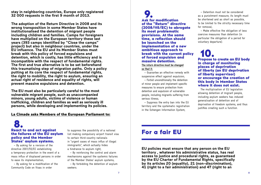**stay in neighboring countries, Europe only registered 32 000 requests in the first 9 month of 2013.** 

**The adoption of the Return Directive in 2008 and its wrong transposition in some Member States have institutionalised the detention of migrant people including children and families. Camps for foreigners have multiplied on the European territory these last years (393 camps identified by "Close the camps" project) but also in neighbour countries, under the EU influence. The EU and its Member States must break with this policy of forced expulsions and detention, which is costly, has little efficiency and is incompatible with the respect of fundamental rights. The first and true alternative is to be set beforehand this traumatising step of migration paths. Only a policy putting at its core the respect of fundamental rights, the right to mobility, the right to asylum, ensuring an actual right of residence and equality of rights, will prevent massive expulsions and detention.** 

**The EU must also be particularly careful to the most vulnerable migrant people, such as unaccompanied minors, young adults, victims of violence or human trafficking, children and families as well as seriously ill persons, while developing and implementing its policies.** 

#### La Cimade asks Members of the European Parliament to:

8. React to and act against the failures of the EU asylum policy and the Member States' asylum systems.

– By asking for a revision of the directive 2001/55/EC establishing a temporary protection in the event of a mass influx of displaced persons in order to ease its implementation;

– By asking for a modification of the Community Code on Visas in order

to suppress the possibility of a national list making compulsory airport transit visa to certain third-country nationals in "urgent cases of mass influx of illegal immigrants", which actually hides a hindrance to asylum right;

– By reinforcing the control and alarm mechanisms against the systemic failures of the Member States' asylum systems;

– By forbidding the detention of asylum seekers.

**9.**<br>Ask for modification of the "Return" directive (2008/115/EC) to abrogate its most problematic provisions. At the same time, a reflection should be launched on the implementation of a new ambitious approach to break with the current policy of forced expulsion and massive detention. The return directive must be changed

#### so that it:

– Guarantee an effective remedy with suspensive effect against expulsion;

– Forbid unconditionally the detention of minor people and implement specific measures to ensure protection from detention and expulsion of vulnerable people, including migrants suffering from serious illness;

– Suppress the entry ban into the EU territory and the systematic registration in the Schengen Information System;

– Detention must not be considered as a punishment measure; its length must be shortened and as short as possible, to be limited to the strictly necessary time for removal;

– Make effective the obligation of less coercive measures than detention (in particular the obligation of a period for voluntary departure).

### 10. Propose to create an EU body in charge of monitoring places of deprivation of liberty (an EU deprivation of liberty supervisor) or encourage the creation of this body in Member States where it does not exist.

The multiplication of EU legislation allowing detention of migrant people, including asylum seekers has induced generalisation of detention and of deprivation of freedom systems, and thus justifies creating such a function.

### For a fair EU

**EU policies must ensure that any person on the EU territory , whatever his administrative status, has real access to justice and procedural rights, as guaranteed by the EU Charter of Fundamental Rights, specifically by its articles 20 (equality), 21 (non-discrimination), 41 (right to a fair administration) and 47 (right to an**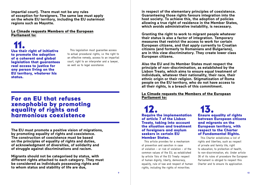**impartial court). There must not be any rules of exception for foreigners. The same law must apply on the whole EU territory, including the EU outermost regions such as Mayotte.**

#### La Cimade requests Members of the European Parliament to:

11. Use their right of initiative to promote the adoption of a coherent and global legislation that guarantees real access to justice for any person living on the EU territory, whatever his status.

This legislation must guarantee access to actual procedural rights, i.e. the right to an effective remedy, access to an impartial court, right to an interpreter and a lawyer, as well as to legal assistance.

### For an EU that refuses xenophobia by promoting equality of rights and harmonious coexistence

**The EU must promote a positive vision of migrations, by promoting equality of rights and coexistence. The construction of coexistence must be based on the principles of equality of rights and duties, of acknowledgment of diversities, of solidarity and of struggle against discriminations and racism.**

**Migrants should not be categorised by status, with different rights attached to each category. They must be considered as individuals possessing rights and to whom status and stability of life are due,** 

**in respect of the elementary principles of coexistence. Guaranteeing those rights favours integration into the host society. To achieve this, the adoption of policies allowing a true right of residence in the Member States, which avoids administrative instability, is necessary.**

**Granting the right to work to migrant people whatever their status is also a factor of integration. Temporary measures that restrict the access to work for certain European citizens, and that apply currently to Croatian citizens (and formerly to Romanians and Bulgarians), are in this view discriminatory. They create lower class European citizens.**

**Also the EU and its Member States must respect the principle of non-discrimination, as established by the Lisbon Treaty, which aims to ensure equal treatment of individuals, whatever their nationality, their race, their ethnic origin or their religion. Stigmatization of Roma people on the EU territory, who do not have access to all their rights, is a breach of this commitment.**

#### La Cimade requests the Members of the European Parliament to:

12.<br>Require the implementation of article 7 of the Lisbon Treaty, taking into account the situation and treatment of foreigners and asylum seekers in certain EU Member States.

This article provides for a mechanism of prevention and sanction in case of violation – or risk of violation – of the common values of the EU, as established by article 1bis of the EU Treaty: respect of human dignity, liberty, democracy, equality, rule of law and respect of human rights, including the rights of minorities.

13. Ensure equality of rights between European citizens and migrants on the European territory, with respect to the Charter of Fundamental Rights.

This Charter establishes a list of rights and liberties, such as respect of private and family life, right to education, to protection of health, to non-discrimination, etc. Under article 36 of its rules of procedure the European Parliament is obliged to respect this Charter and to ensure its application.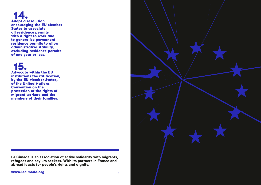14. Adopt a resolution encouraging the EU Member States to associate all residence permits with a right to work and to generalise permanent residence permits to allow administrative stability, excluding residence permits of one year or less.

## 15.

Advocate within the EU institutions the ratification, by the EU Member States, of the United Nations Convention on the protection of the rights of migrant workers and the members of their families.

**La Cimade is an association of active solidarity with migrants, refugees and asylum seekers. With its partners in France and abroad it acts for people's rights and dignity.**

www.lacimade.org